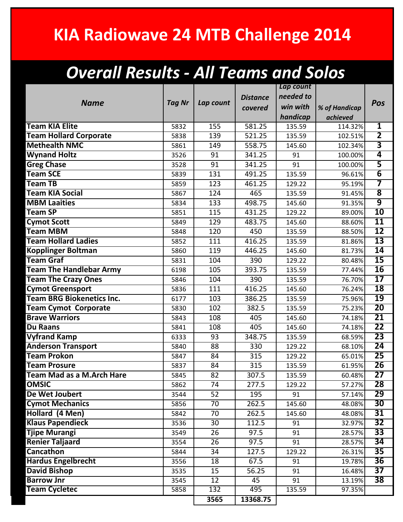## **KIA Radiowave 24 MTB Challenge 2014**

## *Overall Results - All Teams and Solos*

|                                  |               |                  |                   | Lap count |               |                         |
|----------------------------------|---------------|------------------|-------------------|-----------|---------------|-------------------------|
|                                  |               |                  | <b>Distance</b>   | needed to |               |                         |
| <b>Name</b>                      | <b>Tag Nr</b> | Lap count        | covered           | win with  | % of Handicap | Pos                     |
|                                  |               |                  |                   | handicap  | achieved      |                         |
| <b>Team KIA Elite</b>            | 5832          | 155              | 581.25            | 135.59    | 114.32%       | $\overline{\mathbf{1}}$ |
| <b>Team Hollard Corporate</b>    | 5838          | 139              | 521.25            | 135.59    | 102.51%       | $\overline{\mathbf{2}}$ |
| <b>Methealth NMC</b>             | 5861          | 149              | 558.75            | 145.60    | 102.34%       | 3                       |
| <b>Wynand Holtz</b>              | 3526          | 91               | 341.25            | 91        | 100.00%       | 4                       |
| <b>Greg Chase</b>                | 3528          | 91               | 341.25            | 91        | 100.00%       | $\overline{\mathsf{5}}$ |
| <b>Team SCE</b>                  | 5839          | 131              | 491.25            | 135.59    | 96.61%        | $\overline{6}$          |
| <b>Team TB</b>                   | 5859          | $\overline{123}$ | 461.25            | 129.22    | 95.19%        | 7                       |
| <b>Team KIA Social</b>           | 5867          | 124              | 465               | 135.59    | 91.45%        | $\overline{\mathbf{8}}$ |
| <b>MBM Laaities</b>              | 5834          | 133              | 498.75            | 145.60    | 91.35%        | 9                       |
| <b>Team SP</b>                   | 5851          | 115              | 431.25            | 129.22    | 89.00%        | 10                      |
| <b>Cymot Scott</b>               | 5849          | 129              | 483.75            | 145.60    | 88.60%        | 11                      |
| <b>Team MBM</b>                  | 5848          | 120              | 450               | 135.59    | 88.50%        | $\overline{12}$         |
| <b>Team Hollard Ladies</b>       | 5852          | 111              | 416.25            | 135.59    | 81.86%        | $\overline{13}$         |
| <b>Kopplinger Boltman</b>        | 5860          | 119              | 446.25            | 145.60    | 81.73%        | 14                      |
| <b>Team Graf</b>                 | 5831          | 104              | 390               | 129.22    | 80.48%        | $\overline{15}$         |
| <b>Team The Handlebar Army</b>   | 6198          | 105              | 393.75            | 135.59    | 77.44%        | 16                      |
| <b>Team The Crazy Ones</b>       | 5846          | 104              | 390               | 135.59    | 76.70%        | $\overline{17}$         |
| <b>Cymot Greensport</b>          | 5836          | 111              | 416.25            | 145.60    | 76.24%        | 18                      |
| <b>Team BRG Biokenetics Inc.</b> | 6177          | 103              | 386.25            | 135.59    | 75.96%        | 19                      |
| <b>Team Cymot Corporate</b>      | 5830          | 102              | 382.5             | 135.59    | 75.23%        | 20                      |
| <b>Brave Warriors</b>            | 5843          | 108              | 405               | 145.60    | 74.18%        | 21                      |
| <b>Du Raans</b>                  | 5841          | 108              | 405               | 145.60    | 74.18%        | 22                      |
| <b>Vyfrand Kamp</b>              | 6333          | 93               | 348.75            | 135.59    | 68.59%        | $\overline{23}$         |
| <b>Anderson Transport</b>        | 5840          | 88               | 330               | 129.22    | 68.10%        | 24                      |
| <b>Team Prokon</b>               | 5847          | 84               | 315               | 129.22    | 65.01%        | 25                      |
| <b>Team Prosure</b>              | 5837          | 84               | $\overline{315}$  | 135.59    | 61.95%        | $\overline{26}$         |
| <b>Team Mad as a M.Arch Hare</b> | 5845          | 82               | 307.5             | 135.59    | 60.48%        | 27                      |
| <b>OMSIC</b>                     | 5862          | 74               | 277.5             | 129.22    | 57.27%        | 28                      |
| De Wet Joubert                   | 3544          | $\overline{52}$  | 195               | 91        | 57.14%        | 29                      |
| <b>Cymot Mechanics</b>           | 5856          | 70               | 262.5             | 145.60    | 48.08%        | 30                      |
| Hollard (4 Men)                  | 5842          | 70               | 262.5             | 145.60    | 48.08%        | 31                      |
| <b>Klaus Papendieck</b>          | 3536          | 30               | 112.5             | 91        | 32.97%        | 32                      |
| <b>Tjipe Murangi</b>             | 3549          | 26               | 97.5              | 91        | 28.57%        | 33                      |
| <b>Renier Taljaard</b>           | 3554          | 26               | $\overline{97.5}$ | 91        | 28.57%        | 34                      |
| <b>Cancathon</b>                 | 5844          | 34               | 127.5             | 129.22    | 26.31%        | 35                      |
| <b>Hardus Engelbrecht</b>        | 3556          | 18               | 67.5              | 91        | 19.78%        | 36                      |
| <b>David Bishop</b>              | 3535          | 15               | 56.25             | 91        | 16.48%        | 37                      |
| <b>Barrow Jnr</b>                | 3545          | 12               | 45                | 91        | 13.19%        | $\overline{38}$         |
| <b>Team Cycletec</b>             | 5858          | 132              | 495               | 135.59    | 97.35%        |                         |
|                                  |               | 3565             | 13368.75          |           |               |                         |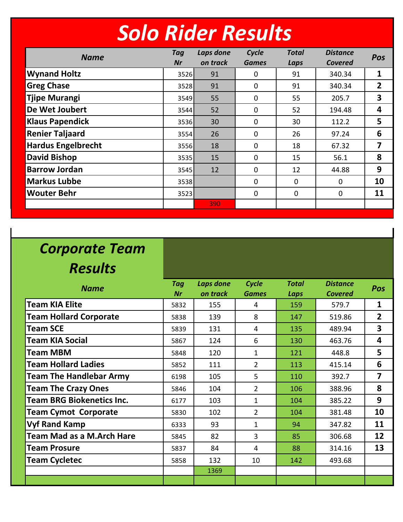|  |  | Solo Rider Results |
|--|--|--------------------|
|  |  |                    |

| <b>Name</b>               | Tag<br><b>Nr</b> | Laps done<br>on track | Cycle<br><b>Games</b> | <b>Total</b><br>Laps | <b>Distance</b><br><b>Covered</b> | Pos                     |
|---------------------------|------------------|-----------------------|-----------------------|----------------------|-----------------------------------|-------------------------|
| <b>Wynand Holtz</b>       | 3526             | 91                    | 0                     | 91                   | 340.34                            | $\mathbf{1}$            |
| <b>Greg Chase</b>         | 3528             | 91                    | $\mathbf 0$           | 91                   | 340.34                            | $\overline{2}$          |
| <b>Tjipe Murangi</b>      | 3549             | 55                    | 0                     | 55                   | 205.7                             | $\overline{\mathbf{3}}$ |
| De Wet Joubert            | 3544             | 52                    | $\mathbf 0$           | 52                   | 194.48                            | 4                       |
| <b>Klaus Papendick</b>    | 3536             | 30                    | $\mathbf 0$           | 30                   | 112.2                             | 5                       |
| <b>Renier Taljaard</b>    | 3554             | 26                    | 0                     | 26                   | 97.24                             | 6                       |
| <b>Hardus Engelbrecht</b> | 3556             | 18                    | $\mathbf 0$           | 18                   | 67.32                             | 7                       |
| <b>David Bishop</b>       | 3535             | 15                    | $\mathbf{0}$          | 15                   | 56.1                              | 8                       |
| <b>Barrow Jordan</b>      | 3545             | 12                    | $\mathbf 0$           | 12                   | 44.88                             | 9                       |
| <b>Markus Lubbe</b>       | 3538             |                       | $\mathbf{0}$          | 0                    | $\overline{0}$                    | 10                      |
| <b>Wouter Behr</b>        | 3523             |                       | $\mathbf 0$           | 0                    | $\overline{0}$                    | 11                      |
|                           |                  | 390                   |                       |                      |                                   |                         |

## *Corporate Team*

*Results*

| <b>Name</b>                      | <b>Tag</b> | Laps done | Cycle          | <b>Total</b> | <b>Distance</b> | Pos                     |
|----------------------------------|------------|-----------|----------------|--------------|-----------------|-------------------------|
|                                  | Nr         | on track  | <b>Games</b>   | Laps         | <b>Covered</b>  |                         |
| <b>Team KIA Elite</b>            | 5832       | 155       | 4              | 159          | 579.7           | $\mathbf{1}$            |
| <b>Team Hollard Corporate</b>    | 5838       | 139       | 8              | 147          | 519.86          | $\overline{2}$          |
| <b>Team SCE</b>                  | 5839       | 131       | 4              | 135          | 489.94          | 3                       |
| <b>Team KIA Social</b>           | 5867       | 124       | 6              | 130          | 463.76          | 4                       |
| <b>Team MBM</b>                  | 5848       | 120       | 1              | 121          | 448.8           | 5                       |
| <b>Team Hollard Ladies</b>       | 5852       | 111       | $2^{\circ}$    | 113          | 415.14          | 6                       |
| <b>Team The Handlebar Army</b>   | 6198       | 105       | 5              | 110          | 392.7           | $\overline{\mathbf{z}}$ |
| <b>Team The Crazy Ones</b>       | 5846       | 104       | $\overline{2}$ | 106          | 388.96          | 8                       |
| <b>Team BRG Biokenetics Inc.</b> | 6177       | 103       | $\mathbf{1}$   | 104          | 385.22          | 9                       |
| <b>Team Cymot Corporate</b>      | 5830       | 102       | $\overline{2}$ | 104          | 381.48          | 10                      |
| <b>Vyf Rand Kamp</b>             | 6333       | 93        | 1              | 94           | 347.82          | 11                      |
| <b>Team Mad as a M.Arch Hare</b> | 5845       | 82        | $\overline{3}$ | 85           | 306.68          | 12                      |
| <b>Team Prosure</b>              | 5837       | 84        | 4              | 88           | 314.16          | 13                      |
| <b>Team Cycletec</b>             | 5858       | 132       | 10             | 142          | 493.68          |                         |
|                                  |            | 1369      |                |              |                 |                         |
|                                  |            |           |                |              |                 |                         |